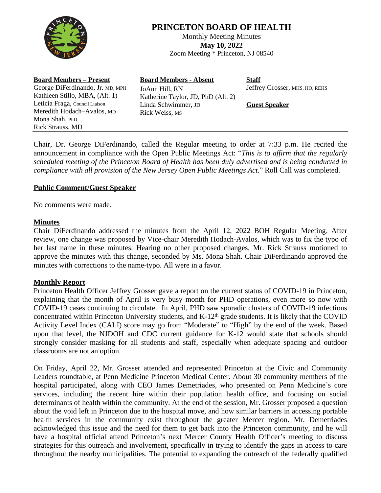

# **PRINCETON BOARD OF HEALTH**

Monthly Meeting Minutes **May 10, 2022** Zoom Meeting \* Princeton, NJ 08540

| <b>Board Members – Present</b>                                     | <b>Board Members - Absent</b>                             | <b>Staff</b>                   |
|--------------------------------------------------------------------|-----------------------------------------------------------|--------------------------------|
| George DiFerdinando, Jr. MD, MPH<br>Kathleen Stillo, MBA, (Alt. 1) | JoAnn Hill, RN                                            | Jeffrey Grosser, MHS, HO, REHS |
| Leticia Fraga, Council Liaison                                     | Katherine Taylor, JD, PhD (Alt. 2)<br>Linda Schwimmer, JD | <b>Guest Speaker</b>           |
| Meredith Hodach-Avalos, MD<br>Mona Shah, PhD                       | Rick Weiss, MS                                            |                                |
| <b>Rick Strauss, MD</b>                                            |                                                           |                                |

Chair, Dr. George DiFerdinando, called the Regular meeting to order at 7:33 p.m. He recited the announcement in compliance with the Open Public Meetings Act: "*This is to affirm that the regularly scheduled meeting of the Princeton Board of Health has been duly advertised and is being conducted in compliance with all provision of the New Jersey Open Public Meetings Act.*" Roll Call was completed.

## **Public Comment/Guest Speaker**

No comments were made.

#### **Minutes**

Chair DiFerdinando addressed the minutes from the April 12, 2022 BOH Regular Meeting. After review, one change was proposed by Vice-chair Meredith Hodach-Avalos, which was to fix the typo of her last name in these minutes. Hearing no other proposed changes, Mr. Rick Strauss motioned to approve the minutes with this change, seconded by Ms. Mona Shah. Chair DiFerdinando approved the minutes with corrections to the name-typo. All were in a favor.

# **Monthly Report**

Princeton Health Officer Jeffrey Grosser gave a report on the current status of COVID-19 in Princeton, explaining that the month of April is very busy month for PHD operations, even more so now with COVID-19 cases continuing to circulate. In April, PHD saw sporadic clusters of COVID-19 infections concentrated within Princeton University students, and K-12<sup>th</sup> grade students. It is likely that the COVID Activity Level Index (CALI) score may go from "Moderate" to "High" by the end of the week. Based upon that level, the NJDOH and CDC current guidance for K-12 would state that schools should strongly consider masking for all students and staff, especially when adequate spacing and outdoor classrooms are not an option.

On Friday, April 22, Mr. Grosser attended and represented Princeton at the Civic and Community Leaders roundtable, at Penn Medicine Princeton Medical Center. About 30 community members of the hospital participated, along with CEO James Demetriades, who presented on Penn Medicine's core services, including the recent hire within their population health office, and focusing on social determinants of health within the community. At the end of the session, Mr. Grosser proposed a question about the void left in Princeton due to the hospital move, and how similar barriers in accessing portable health services in the community exist throughout the greater Mercer region. Mr. Demetriades acknowledged this issue and the need for them to get back into the Princeton community, and he will have a hospital official attend Princeton's next Mercer County Health Officer's meeting to discuss strategies for this outreach and involvement, specifically in trying to identify the gaps in access to care throughout the nearby municipalities. The potential to expanding the outreach of the federally qualified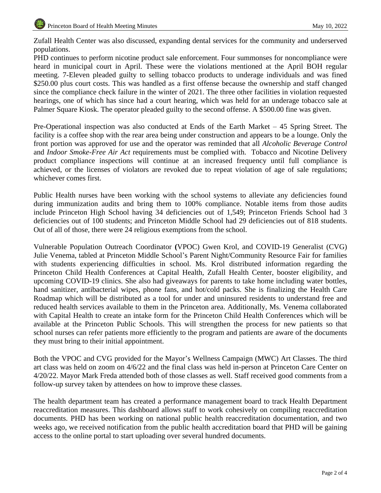Zufall Health Center was also discussed, expanding dental services for the community and underserved populations.

PHD continues to perform nicotine product sale enforcement. Four summonses for noncompliance were heard in municipal court in April. These were the violations mentioned at the April BOH regular meeting. 7-Eleven pleaded guilty to selling tobacco products to underage individuals and was fined \$250.00 plus court costs. This was handled as a first offense because the ownership and staff changed since the compliance check failure in the winter of 2021. The three other facilities in violation requested hearings, one of which has since had a court hearing, which was held for an underage tobacco sale at Palmer Square Kiosk. The operator pleaded guilty to the second offense. A \$500.00 fine was given.

Pre-Operational inspection was also conducted at Ends of the Earth Market – 45 Spring Street. The facility is a coffee shop with the rear area being under construction and appears to be a lounge. Only the front portion was approved for use and the operator was reminded that all *Alcoholic Beverage Control* and *Indoor Smoke-Free Air Act* requirements must be complied with. Tobacco and Nicotine Delivery product compliance inspections will continue at an increased frequency until full compliance is achieved, or the licenses of violators are revoked due to repeat violation of age of sale regulations; whichever comes first.

Public Health nurses have been working with the school systems to alleviate any deficiencies found during immunization audits and bring them to 100% compliance. Notable items from those audits include Princeton High School having 34 deficiencies out of 1,549; Princeton Friends School had 3 deficiencies out of 100 students; and Princeton Middle School had 29 deficiencies out of 818 students. Out of all of those, there were 24 religious exemptions from the school.

Vulnerable Population Outreach Coordinator **(**VPOC) Gwen Krol, and COVID-19 Generalist (CVG) Julie Venema, tabled at Princeton Middle School's Parent Night/Community Resource Fair for families with students experiencing difficulties in school. Ms. Krol distributed information regarding the Princeton Child Health Conferences at Capital Health, Zufall Health Center, booster eligibility, and upcoming COVID-19 clinics. She also had giveaways for parents to take home including water bottles, hand sanitizer, antibacterial wipes, phone fans, and hot/cold packs. She is finalizing the Health Care Roadmap which will be distributed as a tool for under and uninsured residents to understand free and reduced health services available to them in the Princeton area. Additionally, Ms. Venema collaborated with Capital Health to create an intake form for the Princeton Child Health Conferences which will be available at the Princeton Public Schools. This will strengthen the process for new patients so that school nurses can refer patients more efficiently to the program and patients are aware of the documents they must bring to their initial appointment.

Both the VPOC and CVG provided for the Mayor's Wellness Campaign (MWC) Art Classes. The third art class was held on zoom on 4/6/22 and the final class was held in-person at Princeton Care Center on 4/20/22. Mayor Mark Freda attended both of those classes as well. Staff received good comments from a follow-up survey taken by attendees on how to improve these classes.

The health department team has created a performance management board to track Health Department reaccreditation measures. This dashboard allows staff to work cohesively on compiling reaccreditation documents. PHD has been working on national public health reaccreditation documentation, and two weeks ago, we received notification from the public health accreditation board that PHD will be gaining access to the online portal to start uploading over several hundred documents.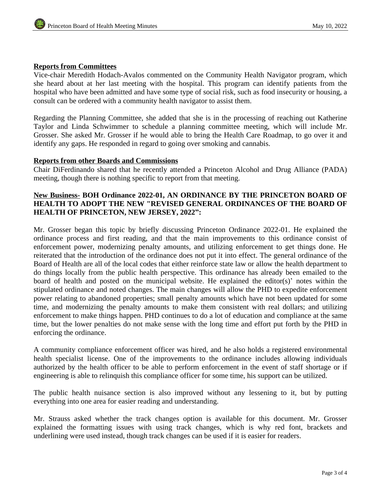## **Reports from Committees**

Vice-chair Meredith Hodach-Avalos commented on the Community Health Navigator program, which she heard about at her last meeting with the hospital. This program can identify patients from the hospital who have been admitted and have some type of social risk, such as food insecurity or housing, a consult can be ordered with a community health navigator to assist them.

Regarding the Planning Committee, she added that she is in the processing of reaching out Katherine Taylor and Linda Schwimmer to schedule a planning committee meeting, which will include Mr. Grosser. She asked Mr. Grosser if he would able to bring the Health Care Roadmap, to go over it and identify any gaps. He responded in regard to going over smoking and cannabis.

#### **Reports from other Boards and Commissions**

Chair DiFerdinando shared that he recently attended a Princeton Alcohol and Drug Alliance (PADA) meeting, though there is nothing specific to report from that meeting.

## **New Business- BOH Ordinance 2022-01, AN ORDINANCE BY THE PRINCETON BOARD OF HEALTH TO ADOPT THE NEW "REVISED GENERAL ORDINANCES OF THE BOARD OF HEALTH OF PRINCETON, NEW JERSEY, 2022":**

Mr. Grosser began this topic by briefly discussing Princeton Ordinance 2022-01. He explained the ordinance process and first reading, and that the main improvements to this ordinance consist of enforcement power, modernizing penalty amounts, and utilizing enforcement to get things done. He reiterated that the introduction of the ordinance does not put it into effect. The general ordinance of the Board of Health are all of the local codes that either reinforce state law or allow the health department to do things locally from the public health perspective. This ordinance has already been emailed to the board of health and posted on the municipal website. He explained the editor(s)' notes within the stipulated ordinance and noted changes. The main changes will allow the PHD to expedite enforcement power relating to abandoned properties; small penalty amounts which have not been updated for some time, and modernizing the penalty amounts to make them consistent with real dollars; and utilizing enforcement to make things happen. PHD continues to do a lot of education and compliance at the same time, but the lower penalties do not make sense with the long time and effort put forth by the PHD in enforcing the ordinance.

A community compliance enforcement officer was hired, and he also holds a registered environmental health specialist license. One of the improvements to the ordinance includes allowing individuals authorized by the health officer to be able to perform enforcement in the event of staff shortage or if engineering is able to relinquish this compliance officer for some time, his support can be utilized.

The public health nuisance section is also improved without any lessening to it, but by putting everything into one area for easier reading and understanding.

Mr. Strauss asked whether the track changes option is available for this document. Mr. Grosser explained the formatting issues with using track changes, which is why red font, brackets and underlining were used instead, though track changes can be used if it is easier for readers.